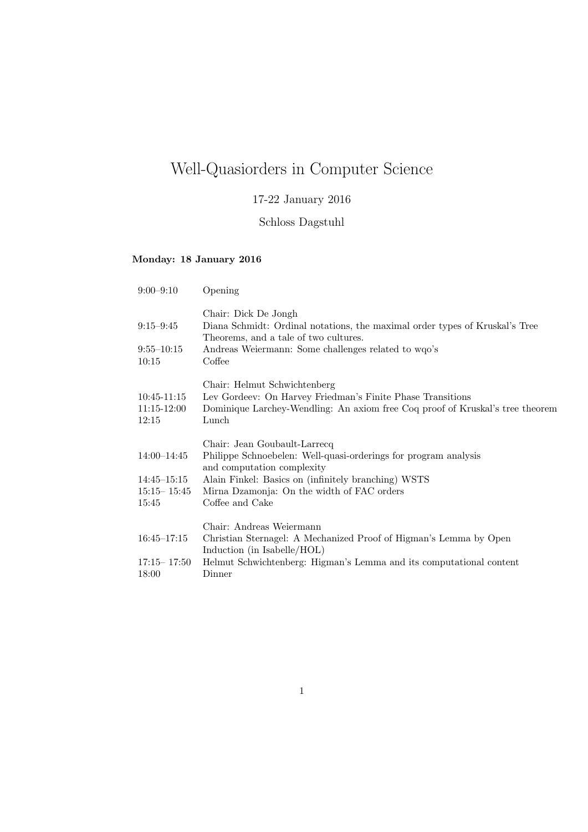# Well-Quasiorders in Computer Science

## 17-22 January 2016

### Schloss Dagstuhl

### Monday: 18 January 2016

| $9:00 - 9:10$                                              | Opening                                                                                                                                                                                                                                               |
|------------------------------------------------------------|-------------------------------------------------------------------------------------------------------------------------------------------------------------------------------------------------------------------------------------------------------|
| $9:15 - 9:45$                                              | Chair: Dick De Jongh<br>Diana Schmidt: Ordinal notations, the maximal order types of Kruskal's Tree<br>Theorems, and a tale of two cultures.                                                                                                          |
| $9:55 - 10:15$<br>10:15                                    | Andreas Weiermann: Some challenges related to wqo's<br>Coffee                                                                                                                                                                                         |
| $10:45-11:15$<br>$11:15 - 12:00$<br>12:15                  | Chair: Helmut Schwichtenberg<br>Lev Gordeev: On Harvey Friedman's Finite Phase Transitions<br>Dominique Larchey-Wendling: An axiom free Coq proof of Kruskal's tree theorem<br>Lunch                                                                  |
| 14:00-14:45<br>$14:45 - 15:15$<br>$15:15 - 15:45$<br>15:45 | Chair: Jean Goubault-Larrecq<br>Philippe Schnoebelen: Well-quasi-orderings for program analysis<br>and computation complexity<br>Alain Finkel: Basics on (infinitely branching) WSTS<br>Mirna Dzamonja: On the width of FAC orders<br>Coffee and Cake |
| $16:45 - 17:15$<br>$17:15 - 17:50$<br>18:00                | Chair: Andreas Weiermann<br>Christian Sternagel: A Mechanized Proof of Higman's Lemma by Open<br>Induction (in Isabelle/HOL)<br>Helmut Schwichtenberg: Higman's Lemma and its computational content<br>Dinner                                         |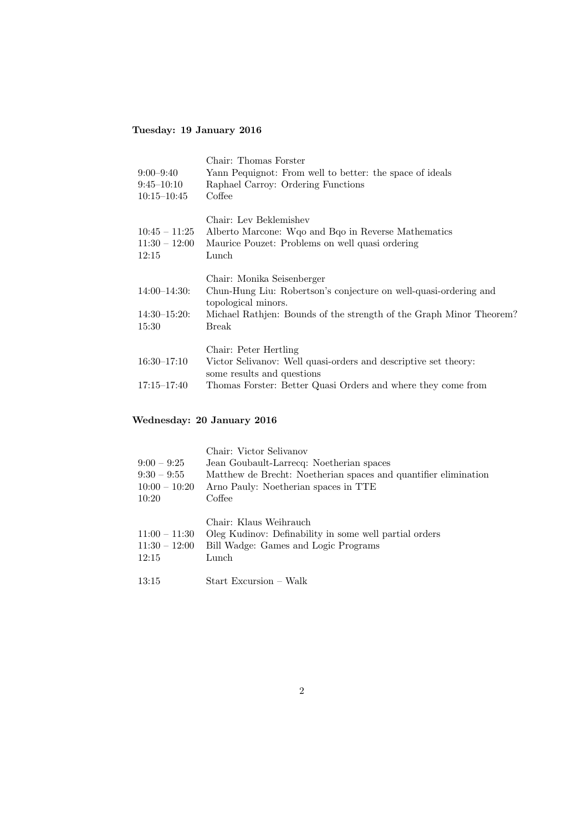### Tuesday: 19 January 2016

| $9:00 - 9:40$<br>$9:45 - 10:10$<br>$10:15 - 10:45$ | Chair: Thomas Forster<br>Yann Pequignot: From well to better: the space of ideals<br>Raphael Carroy: Ordering Functions<br>Coffee                                                                     |
|----------------------------------------------------|-------------------------------------------------------------------------------------------------------------------------------------------------------------------------------------------------------|
| $10:45 - 11:25$<br>$11:30 - 12:00$<br>12:15        | Chair: Lev Beklemishev<br>Alberto Marcone: Wgo and Bqo in Reverse Mathematics<br>Maurice Pouzet: Problems on well quasi ordering<br>Lunch                                                             |
| $14:00-14:30:$<br>$14:30 - 15:20$ :<br>15:30       | Chair: Monika Seisenberger<br>Chun-Hung Liu: Robertson's conjecture on well-quasi-ordering and<br>topological minors.<br>Michael Rathjen: Bounds of the strength of the Graph Minor Theorem?<br>Break |
| $16:30-17:10$<br>$17:15 - 17:40$                   | Chair: Peter Hertling<br>Victor Selivanov: Well quasi-orders and descriptive set theory:<br>some results and questions<br>Thomas Forster: Better Quasi Orders and where they come from                |

### Wednesday: 20 January 2016

|                                             | Chair: Victor Selivanov                                                                                                           |
|---------------------------------------------|-----------------------------------------------------------------------------------------------------------------------------------|
| $9:00 - 9:25$                               | Jean Goubault-Larrecq: Noetherian spaces                                                                                          |
| $9:30 - 9:55$                               | Matthew de Brecht: Noetherian spaces and quantifier elimination                                                                   |
| $10:00 - 10:20$                             | Arno Pauly: Noetherian spaces in TTE                                                                                              |
| 10:20                                       | Coffee                                                                                                                            |
| $11:00 - 11:30$<br>$11:30 - 12:00$<br>12:15 | Chair: Klaus Weihrauch<br>Oleg Kudinov: Definability in some well partial orders<br>Bill Wadge: Games and Logic Programs<br>Lunch |
| 13:15                                       | Start Excursion – Walk                                                                                                            |